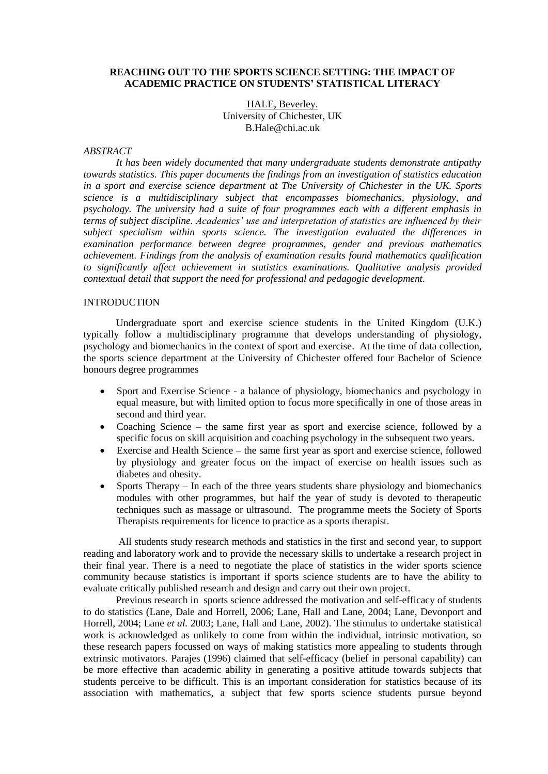### **REACHING OUT TO THE SPORTS SCIENCE SETTING: THE IMPACT OF ACADEMIC PRACTICE ON STUDENTS' STATISTICAL LITERACY**

HALE, Beverley. University of Chichester, UK B.Hale@chi.ac.uk

# *ABSTRACT*

*It has been widely documented that many undergraduate students demonstrate antipathy towards statistics. This paper documents the findings from an investigation of statistics education in a sport and exercise science department at The University of Chichester in the UK. Sports science is a multidisciplinary subject that encompasses biomechanics, physiology, and psychology. The university had a suite of four programmes each with a different emphasis in terms of subject discipline. Academics' use and interpretation of statistics are influenced by their subject specialism within sports science. The investigation evaluated the differences in examination performance between degree programmes, gender and previous mathematics achievement. Findings from the analysis of examination results found mathematics qualification to significantly affect achievement in statistics examinations. Qualitative analysis provided contextual detail that support the need for professional and pedagogic development.*

# **INTRODUCTION**

Undergraduate sport and exercise science students in the United Kingdom (U.K.) typically follow a multidisciplinary programme that develops understanding of physiology, psychology and biomechanics in the context of sport and exercise. At the time of data collection, the sports science department at the University of Chichester offered four Bachelor of Science honours degree programmes

- Sport and Exercise Science a balance of physiology, biomechanics and psychology in equal measure, but with limited option to focus more specifically in one of those areas in second and third year.
- Coaching Science the same first year as sport and exercise science, followed by a specific focus on skill acquisition and coaching psychology in the subsequent two years.
- Exercise and Health Science the same first year as sport and exercise science, followed by physiology and greater focus on the impact of exercise on health issues such as diabetes and obesity.
- Sports Therapy In each of the three years students share physiology and biomechanics modules with other programmes, but half the year of study is devoted to therapeutic techniques such as massage or ultrasound. The programme meets the Society of Sports Therapists requirements for licence to practice as a sports therapist.

All students study research methods and statistics in the first and second year, to support reading and laboratory work and to provide the necessary skills to undertake a research project in their final year. There is a need to negotiate the place of statistics in the wider sports science community because statistics is important if sports science students are to have the ability to evaluate critically published research and design and carry out their own project.

Previous research in sports science addressed the motivation and self-efficacy of students to do statistics (Lane, Dale and Horrell, 2006; Lane, Hall and Lane, 2004; Lane, Devonport and Horrell, 2004; Lane *et al.* 2003; Lane, Hall and Lane, 2002). The stimulus to undertake statistical work is acknowledged as unlikely to come from within the individual, intrinsic motivation, so these research papers focussed on ways of making statistics more appealing to students through extrinsic motivators. Parajes (1996) claimed that self-efficacy (belief in personal capability) can be more effective than academic ability in generating a positive attitude towards subjects that students perceive to be difficult. This is an important consideration for statistics because of its association with mathematics, a subject that few sports science students pursue beyond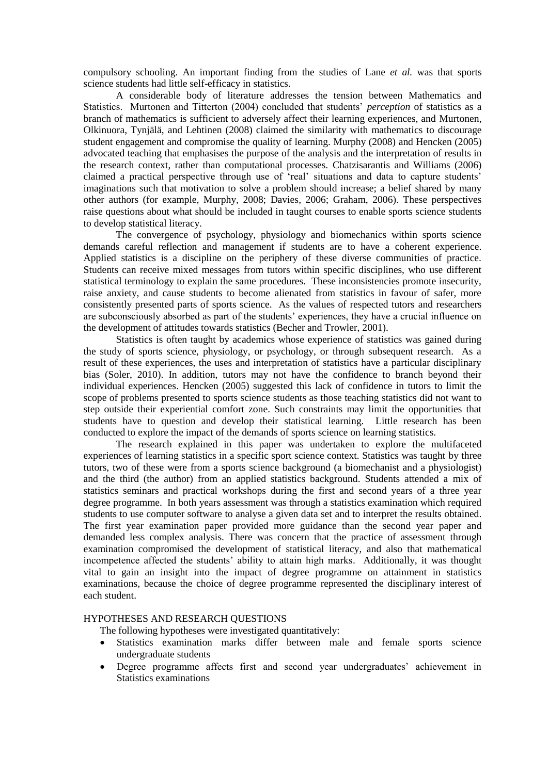compulsory schooling. An important finding from the studies of Lane *et al.* was that sports science students had little self-efficacy in statistics.

A considerable body of literature addresses the tension between Mathematics and Statistics. Murtonen and Titterton (2004) concluded that students" *perception* of statistics as a branch of mathematics is sufficient to adversely affect their learning experiences, and Murtonen, Olkinuora, Tynjälä, and Lehtinen (2008) claimed the similarity with mathematics to discourage student engagement and compromise the quality of learning. Murphy (2008) and Hencken (2005) advocated teaching that emphasises the purpose of the analysis and the interpretation of results in the research context, rather than computational processes. Chatzisarantis and Williams (2006) claimed a practical perspective through use of 'real' situations and data to capture students' imaginations such that motivation to solve a problem should increase; a belief shared by many other authors (for example, Murphy, 2008; Davies, 2006; Graham, 2006). These perspectives raise questions about what should be included in taught courses to enable sports science students to develop statistical literacy.

The convergence of psychology, physiology and biomechanics within sports science demands careful reflection and management if students are to have a coherent experience. Applied statistics is a discipline on the periphery of these diverse communities of practice. Students can receive mixed messages from tutors within specific disciplines, who use different statistical terminology to explain the same procedures. These inconsistencies promote insecurity, raise anxiety, and cause students to become alienated from statistics in favour of safer, more consistently presented parts of sports science. As the values of respected tutors and researchers are subconsciously absorbed as part of the students" experiences, they have a crucial influence on the development of attitudes towards statistics (Becher and Trowler, 2001).

Statistics is often taught by academics whose experience of statistics was gained during the study of sports science, physiology, or psychology, or through subsequent research. As a result of these experiences, the uses and interpretation of statistics have a particular disciplinary bias (Soler, 2010). In addition, tutors may not have the confidence to branch beyond their individual experiences. Hencken (2005) suggested this lack of confidence in tutors to limit the scope of problems presented to sports science students as those teaching statistics did not want to step outside their experiential comfort zone. Such constraints may limit the opportunities that students have to question and develop their statistical learning. Little research has been conducted to explore the impact of the demands of sports science on learning statistics.

The research explained in this paper was undertaken to explore the multifaceted experiences of learning statistics in a specific sport science context. Statistics was taught by three tutors, two of these were from a sports science background (a biomechanist and a physiologist) and the third (the author) from an applied statistics background. Students attended a mix of statistics seminars and practical workshops during the first and second years of a three year degree programme. In both years assessment was through a statistics examination which required students to use computer software to analyse a given data set and to interpret the results obtained. The first year examination paper provided more guidance than the second year paper and demanded less complex analysis. There was concern that the practice of assessment through examination compromised the development of statistical literacy, and also that mathematical incompetence affected the students' ability to attain high marks. Additionally, it was thought vital to gain an insight into the impact of degree programme on attainment in statistics examinations, because the choice of degree programme represented the disciplinary interest of each student.

# HYPOTHESES AND RESEARCH QUESTIONS

The following hypotheses were investigated quantitatively:

- Statistics examination marks differ between male and female sports science undergraduate students
- Degree programme affects first and second year undergraduates' achievement in Statistics examinations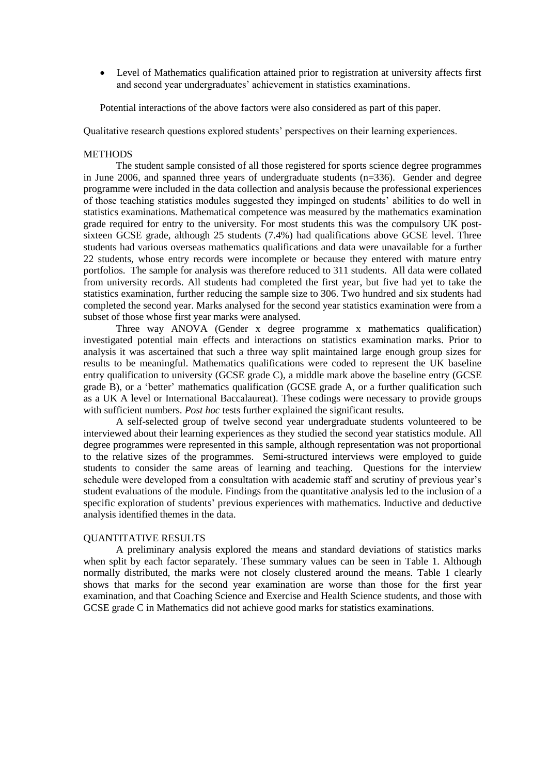Level of Mathematics qualification attained prior to registration at university affects first and second year undergraduates' achievement in statistics examinations.

Potential interactions of the above factors were also considered as part of this paper.

Qualitative research questions explored students" perspectives on their learning experiences.

# **METHODS**

The student sample consisted of all those registered for sports science degree programmes in June 2006, and spanned three years of undergraduate students (n=336). Gender and degree programme were included in the data collection and analysis because the professional experiences of those teaching statistics modules suggested they impinged on students" abilities to do well in statistics examinations. Mathematical competence was measured by the mathematics examination grade required for entry to the university. For most students this was the compulsory UK postsixteen GCSE grade, although 25 students (7.4%) had qualifications above GCSE level. Three students had various overseas mathematics qualifications and data were unavailable for a further 22 students, whose entry records were incomplete or because they entered with mature entry portfolios. The sample for analysis was therefore reduced to 311 students. All data were collated from university records. All students had completed the first year, but five had yet to take the statistics examination, further reducing the sample size to 306. Two hundred and six students had completed the second year. Marks analysed for the second year statistics examination were from a subset of those whose first year marks were analysed.

Three way ANOVA (Gender x degree programme x mathematics qualification) investigated potential main effects and interactions on statistics examination marks. Prior to analysis it was ascertained that such a three way split maintained large enough group sizes for results to be meaningful. Mathematics qualifications were coded to represent the UK baseline entry qualification to university (GCSE grade C), a middle mark above the baseline entry (GCSE grade B), or a 'better' mathematics qualification (GCSE grade A, or a further qualification such as a UK A level or International Baccalaureat). These codings were necessary to provide groups with sufficient numbers. *Post hoc* tests further explained the significant results.

A self-selected group of twelve second year undergraduate students volunteered to be interviewed about their learning experiences as they studied the second year statistics module. All degree programmes were represented in this sample, although representation was not proportional to the relative sizes of the programmes. Semi-structured interviews were employed to guide students to consider the same areas of learning and teaching. Questions for the interview schedule were developed from a consultation with academic staff and scrutiny of previous year"s student evaluations of the module. Findings from the quantitative analysis led to the inclusion of a specific exploration of students" previous experiences with mathematics. Inductive and deductive analysis identified themes in the data.

# QUANTITATIVE RESULTS

A preliminary analysis explored the means and standard deviations of statistics marks when split by each factor separately. These summary values can be seen in Table 1. Although normally distributed, the marks were not closely clustered around the means. Table 1 clearly shows that marks for the second year examination are worse than those for the first year examination, and that Coaching Science and Exercise and Health Science students, and those with GCSE grade C in Mathematics did not achieve good marks for statistics examinations.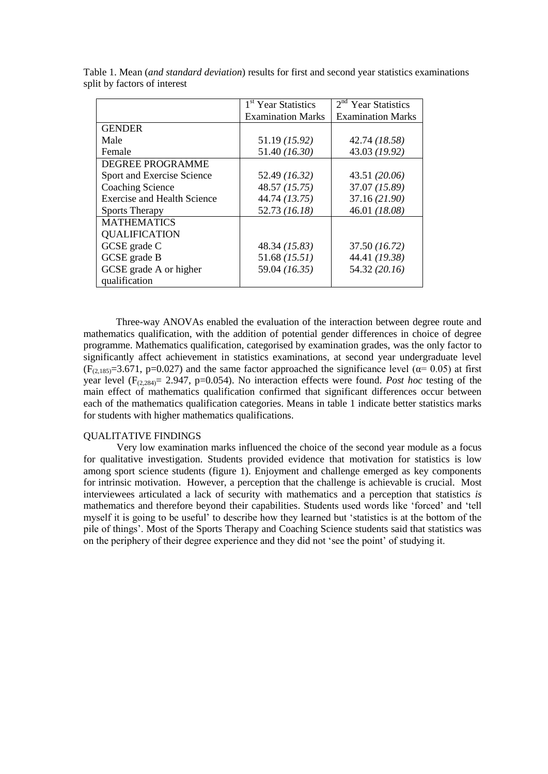|                                    | 1 <sup>st</sup> Year Statistics | $2nd$ Year Statistics    |
|------------------------------------|---------------------------------|--------------------------|
|                                    | <b>Examination Marks</b>        | <b>Examination Marks</b> |
| <b>GENDER</b>                      |                                 |                          |
| Male                               | 51.19 (15.92)                   | 42.74 (18.58)            |
| Female                             | 51.40 (16.30)                   | 43.03 (19.92)            |
| <b>DEGREE PROGRAMME</b>            |                                 |                          |
| Sport and Exercise Science         | 52.49 (16.32)                   | 43.51 (20.06)            |
| <b>Coaching Science</b>            | 48.57 (15.75)                   | 37.07 (15.89)            |
| <b>Exercise and Health Science</b> | 44.74 (13.75)                   | 37.16 (21.90)            |
| <b>Sports Therapy</b>              | 52.73 (16.18)                   | 46.01 (18.08)            |
| <b>MATHEMATICS</b>                 |                                 |                          |
| <b>QUALIFICATION</b>               |                                 |                          |
| GCSE grade C                       | 48.34 (15.83)                   | 37.50 (16.72)            |
| GCSE grade B                       | $51.68$ (15.51)                 | 44.41 (19.38)            |
| GCSE grade A or higher             | 59.04 (16.35)                   | 54.32 (20.16)            |
| qualification                      |                                 |                          |

Table 1. Mean (*and standard deviation*) results for first and second year statistics examinations split by factors of interest

Three-way ANOVAs enabled the evaluation of the interaction between degree route and mathematics qualification, with the addition of potential gender differences in choice of degree programme. Mathematics qualification, categorised by examination grades, was the only factor to significantly affect achievement in statistics examinations, at second year undergraduate level  $(F<sub>(2,185)</sub>=3.671, p=0.027)$  and the same factor approached the significance level ( $\alpha$ = 0.05) at first year level  $(F_{(2,284)} = 2.947, p=0.054)$ . No interaction effects were found. *Post hoc* testing of the main effect of mathematics qualification confirmed that significant differences occur between each of the mathematics qualification categories. Means in table 1 indicate better statistics marks for students with higher mathematics qualifications.

# QUALITATIVE FINDINGS

Very low examination marks influenced the choice of the second year module as a focus for qualitative investigation. Students provided evidence that motivation for statistics is low among sport science students (figure 1). Enjoyment and challenge emerged as key components for intrinsic motivation. However, a perception that the challenge is achievable is crucial. Most interviewees articulated a lack of security with mathematics and a perception that statistics *is* mathematics and therefore beyond their capabilities. Students used words like "forced" and "tell myself it is going to be useful" to describe how they learned but "statistics is at the bottom of the pile of things". Most of the Sports Therapy and Coaching Science students said that statistics was on the periphery of their degree experience and they did not "see the point" of studying it.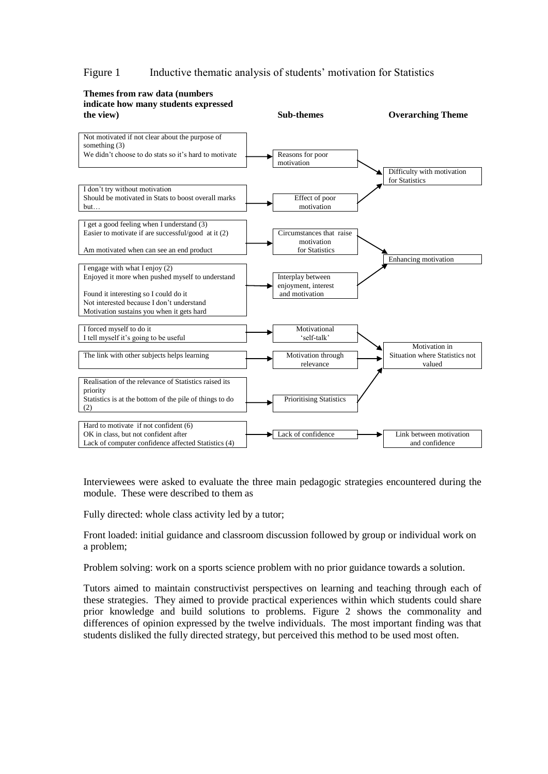# Figure 1 Inductive thematic analysis of students' motivation for Statistics



Interviewees were asked to evaluate the three main pedagogic strategies encountered during the module. These were described to them as

Fully directed: whole class activity led by a tutor;

Front loaded: initial guidance and classroom discussion followed by group or individual work on a problem;

Problem solving: work on a sports science problem with no prior guidance towards a solution.

Tutors aimed to maintain constructivist perspectives on learning and teaching through each of these strategies. They aimed to provide practical experiences within which students could share prior knowledge and build solutions to problems. Figure 2 shows the commonality and differences of opinion expressed by the twelve individuals. The most important finding was that students disliked the fully directed strategy, but perceived this method to be used most often.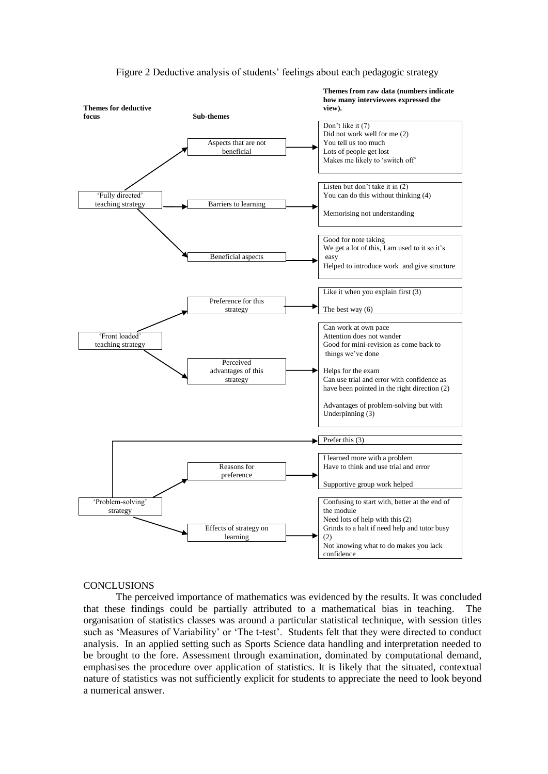

Figure 2 Deductive analysis of students' feelings about each pedagogic strategy

#### **CONCLUSIONS**

The perceived importance of mathematics was evidenced by the results. It was concluded that these findings could be partially attributed to a mathematical bias in teaching. The organisation of statistics classes was around a particular statistical technique, with session titles such as 'Measures of Variability' or 'The t-test'. Students felt that they were directed to conduct analysis. In an applied setting such as Sports Science data handling and interpretation needed to be brought to the fore. Assessment through examination, dominated by computational demand, emphasises the procedure over application of statistics. It is likely that the situated, contextual nature of statistics was not sufficiently explicit for students to appreciate the need to look beyond a numerical answer.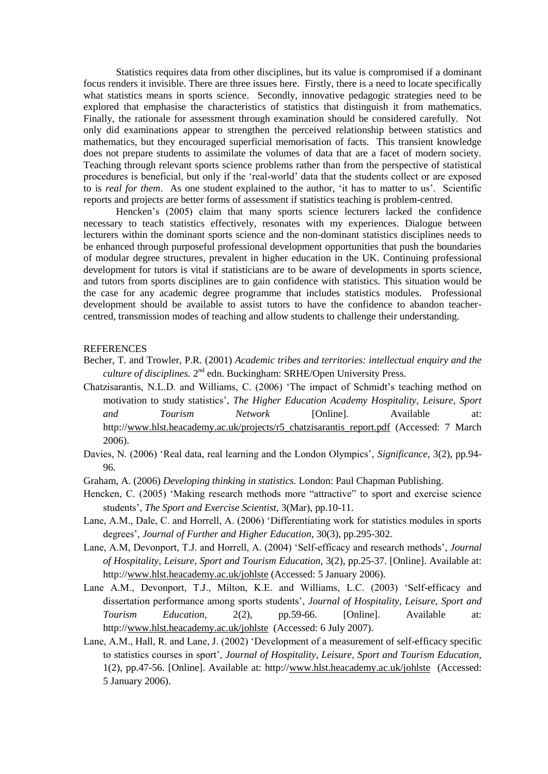Statistics requires data from other disciplines, but its value is compromised if a dominant focus renders it invisible. There are three issues here. Firstly, there is a need to locate specifically what statistics means in sports science. Secondly, innovative pedagogic strategies need to be explored that emphasise the characteristics of statistics that distinguish it from mathematics. Finally, the rationale for assessment through examination should be considered carefully. Not only did examinations appear to strengthen the perceived relationship between statistics and mathematics, but they encouraged superficial memorisation of facts. This transient knowledge does not prepare students to assimilate the volumes of data that are a facet of modern society. Teaching through relevant sports science problems rather than from the perspective of statistical procedures is beneficial, but only if the "real-world" data that the students collect or are exposed to is *real for them*. As one student explained to the author, "it has to matter to us". Scientific reports and projects are better forms of assessment if statistics teaching is problem-centred.

Hencken"s (2005) claim that many sports science lecturers lacked the confidence necessary to teach statistics effectively, resonates with my experiences. Dialogue between lecturers within the dominant sports science and the non-dominant statistics disciplines needs to be enhanced through purposeful professional development opportunities that push the boundaries of modular degree structures, prevalent in higher education in the UK. Continuing professional development for tutors is vital if statisticians are to be aware of developments in sports science, and tutors from sports disciplines are to gain confidence with statistics. This situation would be the case for any academic degree programme that includes statistics modules. Professional development should be available to assist tutors to have the confidence to abandon teachercentred, transmission modes of teaching and allow students to challenge their understanding.

### REFERENCES

- Becher, T. and Trowler, P.R. (2001) *Academic tribes and territories: intellectual enquiry and the*  culture of disciplines. 2<sup>nd</sup> edn. Buckingham: SRHE/Open University Press.
- Chatzisarantis, N.L.D. and Williams, C. (2006) "The impact of Schmidt"s teaching method on motivation to study statistics", *The Higher Education Academy Hospitality, Leisure, Sport and Tourism Network* [Online]. Available at: http:/[/www.hlst.heacademy.ac.uk/projects/r5\\_chatzisarantis\\_report.pdf](http://www.hlst.heacademy.ac.uk/projects/r5_chatzisarantis_report.pdf) (Accessed: 7 March 2006).
- Davies, N. (2006) "Real data, real learning and the London Olympics", *Significance,* 3(2), pp.94- 96.
- Graham, A. (2006) *Developing thinking in statistics.* London: Paul Chapman Publishing.
- Hencken, C. (2005) 'Making research methods more "attractive" to sport and exercise science students", *The Sport and Exercise Scientist,* 3(Mar), pp.10-11.
- Lane, A.M., Dale, C. and Horrell, A. (2006) "Differentiating work for statistics modules in sports degrees", *Journal of Further and Higher Education,* 30(3), pp.295-302.
- Lane, A.M, Devonport, T.J. and Horrell, A. (2004) "Self-efficacy and research methods", *Journal of Hospitality, Leisure, Sport and Tourism Education,* 3(2), pp.25-37. [Online]. Available at: http:/[/www.hlst.heacademy.ac.uk/johlste](http://www.hlst.heacademy.ac.uk/johlste) (Accessed: 5 January 2006).
- Lane A.M., Devonport, T.J., Milton, K.E. and Williams, L.C. (2003) "Self-efficacy and dissertation performance among sports students", *Journal of Hospitality, Leisure, Sport and Tourism Education,* 2(2), pp.59-66. [Online]. Available at: http:/[/www.hlst.heacademy.ac.uk/johlste](http://www.hlst.heacademy.ac.uk/johlste) (Accessed: 6 July 2007).
- Lane, A.M., Hall, R. and Lane, J. (2002) "Development of a measurement of self-efficacy specific to statistics courses in sport", *Journal of Hospitality, Leisure, Sport and Tourism Education,*  1(2), pp.47-56. [Online]. Available at: http:/[/www.hlst.heacademy.ac.uk/johlste](http://www.hlst.heacademy.ac.uk/johlste) (Accessed: 5 January 2006).